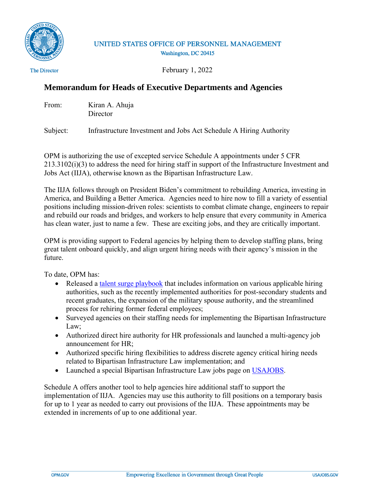

## UNITED STATES OFFICE OF PERSONNEL MANAGEMENT Washington, DC 20415

The Director

February 1, 2022

## **Memorandum for Heads of Executive Departments and Agencies**

| From: | Kiran A. Ahuja |
|-------|----------------|
|       | Director       |

Subject: Infrastructure Investment and Jobs Act Schedule A Hiring Authority

OPM is authorizing the use of excepted service Schedule A appointments under 5 CFR 213.3102(i)(3) to address the need for hiring staff in support of the Infrastructure Investment and Jobs Act (IIJA), otherwise known as the Bipartisan Infrastructure Law.

The IIJA follows through on President Biden's commitment to rebuilding America, investing in America, and Building a Better America. Agencies need to hire now to fill a variety of essential positions including mission-driven roles: scientists to combat climate change, engineers to repair and rebuild our roads and bridges, and workers to help ensure that every community in America has clean water, just to name a few. These are exciting jobs, and they are critically important.

OPM is providing support to Federal agencies by helping them to develop staffing plans, bring great talent onboard quickly, and align urgent hiring needs with their agency's mission in the future.

To date, OPM has:

- Released a [talent surge playbook](https://chcoc.gov/content/talent-surge-executive-playbook-and-talent-surge-hiring-authorities-fact-sheet-empowering) that includes information on various applicable hiring authorities, such as the recently implemented authorities for post-secondary students and recent graduates, the expansion of the military spouse authority, and the streamlined process for rehiring former federal employees;
- Surveyed agencies on their staffing needs for implementing the Bipartisan Infrastructure Law;
- Authorized direct hire authority for HR professionals and launched a multi-agency job announcement for HR;
- Authorized specific hiring flexibilities to address discrete agency critical hiring needs related to Bipartisan Infrastructure Law implementation; and
- Launched a special Bipartisan Infrastructure Law jobs page on [USAJOBS.](https://www.usajobs.gov/search?mco=10)

Schedule A offers another tool to help agencies hire additional staff to support the implementation of IIJA. Agencies may use this authority to fill positions on a temporary basis for up to 1 year as needed to carry out provisions of the IIJA. These appointments may be extended in increments of up to one additional year.